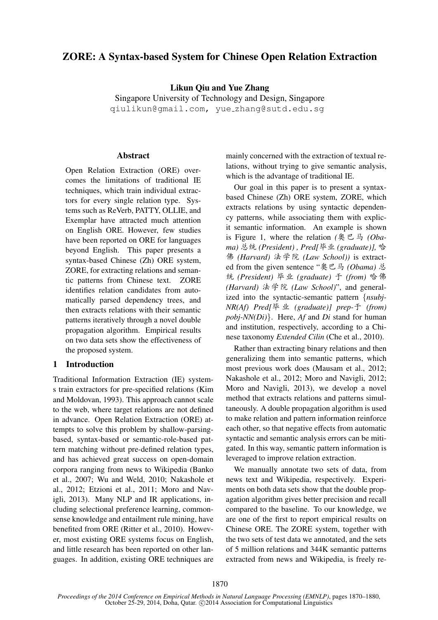# ZORE: A Syntax-based System for Chinese Open Relation Extraction

Likun Qiu and Yue Zhang

Singapore University of Technology and Design, Singapore qiulikun@gmail.com, yue zhang@sutd.edu.sg

#### Abstract

Open Relation Extraction (ORE) overcomes the limitations of traditional IE techniques, which train individual extractors for every single relation type. Systems such as ReVerb, PATTY, OLLIE, and Exemplar have attracted much attention on English ORE. However, few studies have been reported on ORE for languages beyond English. This paper presents a syntax-based Chinese (Zh) ORE system, ZORE, for extracting relations and semantic patterns from Chinese text. ZORE identifies relation candidates from automatically parsed dependency trees, and then extracts relations with their semantic patterns iteratively through a novel double propagation algorithm. Empirical results on two data sets show the effectiveness of the proposed system.

### 1 Introduction

Traditional Information Extraction (IE) systems train extractors for pre-specified relations (Kim and Moldovan, 1993). This approach cannot scale to the web, where target relations are not defined in advance. Open Relation Extraction (ORE) attempts to solve this problem by shallow-parsingbased, syntax-based or semantic-role-based pattern matching without pre-defined relation types, and has achieved great success on open-domain corpora ranging from news to Wikipedia (Banko et al., 2007; Wu and Weld, 2010; Nakashole et al., 2012; Etzioni et al., 2011; Moro and Navigli, 2013). Many NLP and IR applications, including selectional preference learning, commonsense knowledge and entailment rule mining, have benefited from ORE (Ritter et al., 2010). However, most existing ORE systems focus on English, and little research has been reported on other languages. In addition, existing ORE techniques are

mainly concerned with the extraction of textual relations, without trying to give semantic analysis, which is the advantage of traditional IE.

Our goal in this paper is to present a syntaxbased Chinese (Zh) ORE system, ZORE, which extracts relations by using syntactic dependency patterns, while associating them with explicit semantic information. An example is shown is Figure 1, where the relation *(*奧巴马 *(Obama*) 总统 (President), Pred[毕业 (graduate)], 哈 Ã *(Harvard)* {Æ *(Law School))* is extracted from the given sentence "奥巴马 (Obama) 总  $<sup>5</sup>$  *(President)* 毕业 (graduate) 于 (from) 哈佛</sup> *(Harvard)* {Æ *(Law School)*", and generalized into the syntactic-semantic pattern {*nsubj-NR(Af)* Pred[毕业 (graduate)] prep-于 (from) *pobj-NN(Di)*}. Here, *Af* and *Di* stand for human and institution, respectively, according to a Chinese taxonomy *Extended Cilin* (Che et al., 2010).

Rather than extracting binary relations and then generalizing them into semantic patterns, which most previous work does (Mausam et al., 2012; Nakashole et al., 2012; Moro and Navigli, 2012; Moro and Navigli, 2013), we develop a novel method that extracts relations and patterns simultaneously. A double propagation algorithm is used to make relation and pattern information reinforce each other, so that negative effects from automatic syntactic and semantic analysis errors can be mitigated. In this way, semantic pattern information is leveraged to improve relation extraction.

We manually annotate two sets of data, from news text and Wikipedia, respectively. Experiments on both data sets show that the double propagation algorithm gives better precision and recall compared to the baseline. To our knowledge, we are one of the first to report empirical results on Chinese ORE. The ZORE system, together with the two sets of test data we annotated, and the sets of 5 million relations and 344K semantic patterns extracted from news and Wikipedia, is freely re-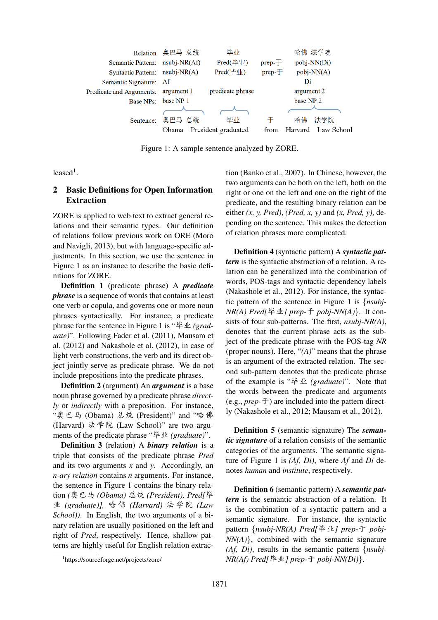

Figure 1: A sample sentence analyzed by ZORE.

 $leased<sup>1</sup>$ .

## 2 Basic Definitions for Open Information Extraction

ZORE is applied to web text to extract general relations and their semantic types. Our definition of relations follow previous work on ORE (Moro and Navigli, 2013), but with language-specific adjustments. In this section, we use the sentence in Figure 1 as an instance to describe the basic definitions for ZORE.

Definition 1 (predicate phrase) A *predicate phrase* is a sequence of words that contains at least one verb or copula, and governs one or more noun phrases syntactically. For instance, a predicate phrase for the sentence in Figure 1 is "毕业 (grad*uate)*". Following Fader et al. (2011), Mausam et al. (2012) and Nakashole et al. (2012), in case of light verb constructions, the verb and its direct object jointly serve as predicate phrase. We do not include prepositions into the predicate phrases.

Definition 2 (argument) An *argument* is a base noun phrase governed by a predicate phrase *directly* or *indirectly* with a preposition. For instance, "奥巴马 (Obama) 总统 (President)" and "哈佛 (Harvard) 法学院 (Law School)" are two arguments of the predicate phrase "毕业 (*graduate*)".

Definition 3 (relation) A *binary relation* is a triple that consists of the predicate phrase *Pred* and its two arguments *x* and *y*. Accordingly, an *n-ary relation* contains *n* arguments. For instance, the sentence in Figure 1 contains the binary relation *(*奧巴马 *(Obama)* 总统 *(President)*, *Pred*[毕 í *(graduate)],* MÃ *(Harvard)* {Æ *(Law School))*. In English, the two arguments of a binary relation are usually positioned on the left and right of *Pred*, respectively. Hence, shallow patterns are highly useful for English relation extraction (Banko et al., 2007). In Chinese, however, the two arguments can be both on the left, both on the right or one on the left and one on the right of the predicate, and the resulting binary relation can be either *(x, y, Pred)*, *(Pred, x, y)* and *(x, Pred, y)*, depending on the sentence. This makes the detection of relation phrases more complicated.

Definition 4 (syntactic pattern) A *syntactic pattern* is the syntactic abstraction of a relation. A relation can be generalized into the combination of words, POS-tags and syntactic dependency labels (Nakashole et al., 2012). For instance, the syntactic pattern of the sentence in Figure 1 is {*nsubj-NR(A) Pred[毕业] prep-*  $\pm$  *pobj-NN(A)*}. It consists of four sub-patterns. The first, *nsubj-NR(A)*, denotes that the current phrase acts as the subject of the predicate phrase with the POS-tag *NR* (proper nouns). Here, "*(A)*" means that the phrase is an argument of the extracted relation. The second sub-pattern denotes that the predicate phrase of the example is "毕业 (*graduate*)". Note that the words between the predicate and arguments  $(e.g., prep- $\pm$ ) are included into the pattern direct$ ly (Nakashole et al., 2012; Mausam et al., 2012).

Definition 5 (semantic signature) The *semantic signature* of a relation consists of the semantic categories of the arguments. The semantic signature of Figure 1 is *(Af, Di)*, where *Af* and *Di* denotes *human* and *institute*, respectively.

Definition 6 (semantic pattern) A *semantic pattern* is the semantic abstraction of a relation. It is the combination of a syntactic pattern and a semantic signature. For instance, the syntactic pattern {*nsubj-NR(A) Pred[毕业] prep-*于 *pobj-NN(A)*}, combined with the semantic signature *(Af, Di)*, results in the semantic pattern {*nsubj-NR(Af) Pred[毕业] prep-* <sup>*于</sup> pobj-NN(Di)*}.</sup>

<sup>1</sup> https://sourceforge.net/projects/zore/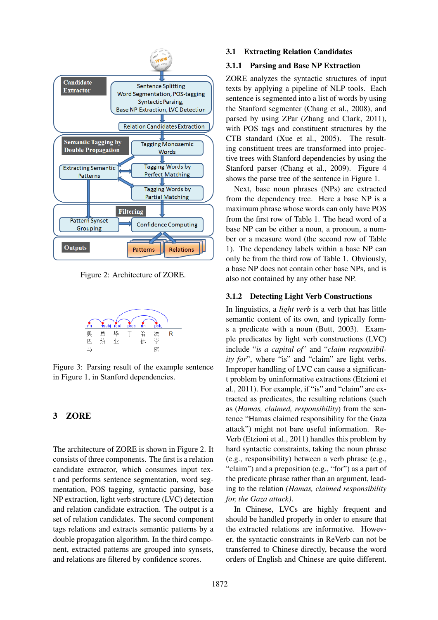

Figure 2: Architecture of ZORE.



Figure 3: Parsing result of the example sentence in Figure 1, in Stanford dependencies.

## 3 ZORE

The architecture of ZORE is shown in Figure 2. It consists of three components. The first is a relation candidate extractor, which consumes input text and performs sentence segmentation, word segmentation, POS tagging, syntactic parsing, base NP extraction, light verb structure (LVC) detection and relation candidate extraction. The output is a set of relation candidates. The second component tags relations and extracts semantic patterns by a double propagation algorithm. In the third component, extracted patterns are grouped into synsets, and relations are filtered by confidence scores.

#### 3.1 Extracting Relation Candidates

#### 3.1.1 Parsing and Base NP Extraction

ZORE analyzes the syntactic structures of input texts by applying a pipeline of NLP tools. Each sentence is segmented into a list of words by using the Stanford segmenter (Chang et al., 2008), and parsed by using ZPar (Zhang and Clark, 2011), with POS tags and constituent structures by the CTB standard (Xue et al., 2005). The resulting constituent trees are transformed into projective trees with Stanford dependencies by using the Stanford parser (Chang et al., 2009). Figure 4 shows the parse tree of the sentence in Figure 1.

Next, base noun phrases (NPs) are extracted from the dependency tree. Here a base NP is a maximum phrase whose words can only have POS from the first row of Table 1. The head word of a base NP can be either a noun, a pronoun, a number or a measure word (the second row of Table 1). The dependency labels within a base NP can only be from the third row of Table 1. Obviously, a base NP does not contain other base NPs, and is also not contained by any other base NP.

#### 3.1.2 Detecting Light Verb Constructions

In linguistics, a *light verb* is a verb that has little semantic content of its own, and typically forms a predicate with a noun (Butt, 2003). Example predicates by light verb constructions (LVC) include "*is a capital of*" and "*claim responsibility for*", where "is" and "claim" are light verbs. Improper handling of LVC can cause a significant problem by uninformative extractions (Etzioni et al., 2011). For example, if "is" and "claim" are extracted as predicates, the resulting relations (such as (*Hamas, claimed, responsibility*) from the sentence "Hamas claimed responsibility for the Gaza attack") might not bare useful information. Re-Verb (Etzioni et al., 2011) handles this problem by hard syntactic constraints, taking the noun phrase (e.g., responsibility) between a verb phrase (e.g., "claim") and a preposition (e.g., "for") as a part of the predicate phrase rather than an argument, leading to the relation *(Hamas, claimed responsibility for, the Gaza attack)*.

In Chinese, LVCs are highly frequent and should be handled properly in order to ensure that the extracted relations are informative. However, the syntactic constraints in ReVerb can not be transferred to Chinese directly, because the word orders of English and Chinese are quite different.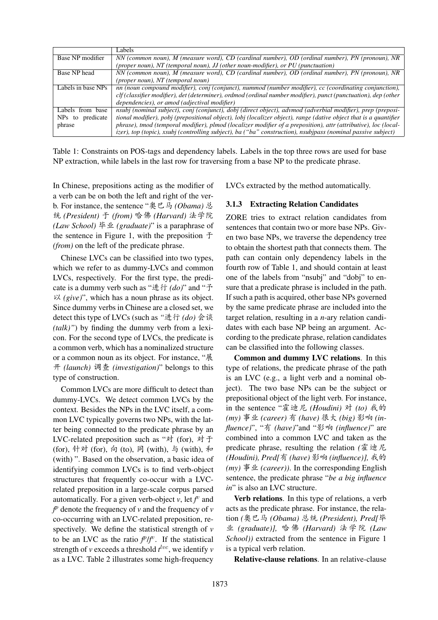|                              | Labels                                                                                                            |
|------------------------------|-------------------------------------------------------------------------------------------------------------------|
| Base NP modifier             | NN (common noun), M (measure word), CD (cardinal number), OD (ordinal number), PN (pronoun), NR                   |
|                              | (proper noun), NT (temporal noun), JJ (other noun-modifier), or PU (punctuation)                                  |
| Base NP head                 | NN (common noun), M (measure word), CD (cardinal number), OD (ordinal number), PN (pronoun), NR                   |
|                              | (proper noun), NT (temporal noun)                                                                                 |
| Labels in base NPs           | nn (noun compound modifier), conj (conjunct), nummod (number modifier), cc (coordinating conjunction),            |
|                              | clf (classifier modifier), det (determiner), ordmod (ordinal number modifier), punct (punctuation), dep (other    |
|                              | dependencies), or amod (adjectival modifier)                                                                      |
| Labels from base             | nsubj (nominal subject), conj (conjunct), dobj (direct object), advmod (adverbial modifier), prep (preposi-       |
| NP <sub>s</sub> to predicate | tional modifier), pobj (prepositional object), lobj (localizer object), range (dative object that is a quantifier |
| phrase                       | phrase), tmod (temporal modifier), plmod (localizer modifier of a preposition), attr (attributive), loc (local-   |
|                              | izer), top (topic), xsubj (controlling subject), ba ("ba" construction), nsubjpass (nominal passive subject)      |

Table 1: Constraints on POS-tags and dependency labels. Labels in the top three rows are used for base NP extraction, while labels in the last row for traversing from a base NP to the predicate phrase.

In Chinese, prepositions acting as the modifier of a verb can be on both the left and right of the verb. For instance, the sentence "奥巴马 *(Obama)* 总 ⁄ *(President)* u *(from)* MÃ *(Harvard)* {Æ *(Law School)* 毕业 *(graduate)*" is a paraphrase of the sentence in Figure 1, with the preposition  $\pm$ *(from)* on the left of the predicate phrase.

Chinese LVCs can be classified into two types, which we refer to as dummy-LVCs and common LVCs, respectively. For the first type, the predicate is a dummy verb such as "进行  $(do)$ " and "予  $\forall \xi$  (give)", which has a noun phrase as its object. Since dummy verbs in Chinese are a closed set, we detect this type of LVCs (such as "进行 (do) 会谈 *(talk)"*) by finding the dummy verb from a lexicon. For the second type of LVCs, the predicate is a common verb, which has a nominalized structure or a common noun as its object. For instance, "展 m *(launch)* N *(investigation)*" belongs to this type of construction.

Common LVCs are more difficult to detect than dummy-LVCs. We detect common LVCs by the context. Besides the NPs in the LVC itself, a common LVC typically governs two NPs, with the latter being connected to the predicate phrase by an LVC-related preposition such as "对 (for), 对于 (for), 针对 (for), 向 (to), 同 (with), 与 (with), 和 (with) ". Based on the observation, a basic idea of identifying common LVCs is to find verb-object structures that frequently co-occur with a LVCrelated preposition in a large-scale corpus parsed automatically. For a given verb-object  $v$ , let  $f^v$  and  $f^p$  denote the frequency of *v* and the frequency of *v* co-occurring with an LVC-related preposition, respectively. We define the statistical strength of *v* to be an LVC as the ratio  $f^p/f^v$ . If the statistical strength of *v* exceeds a threshold  $t^{lvc}$ , we identify *v* as a LVC. Table 2 illustrates some high-frequency LVCs extracted by the method automatically.

#### 3.1.3 Extracting Relation Candidates

ZORE tries to extract relation candidates from sentences that contain two or more base NPs. Given two base NPs, we traverse the dependency tree to obtain the shortest path that connects them. The path can contain only dependency labels in the fourth row of Table 1, and should contain at least one of the labels from "nsubj" and "dobj" to ensure that a predicate phrase is included in the path. If such a path is acquired, other base NPs governed by the same predicate phrase are included into the target relation, resulting in a *n*-ary relation candidates with each base NP being an argument. According to the predicate phrase, relation candidates can be classified into the following classes.

Common and dummy LVC relations. In this type of relations, the predicate phrase of the path is an LVC (e.g., a light verb and a nominal object). The two base NPs can be the subject or prepositional object of the light verb. For instance, in the sentence "霍迪尼 (Houdini) 对 (to) 我的 *(my)* 事业 *(career)* 有 *(have)* 很大 *(big)* 影响 *(influence)*", "有 (have)"and "影响 (influence)" are combined into a common LVC and taken as the predicate phrase, resulting the relation *(*霍迪尼 *(Houdini), Pred[*有 *(have)* 影响 *(influence)]*, 我的 *(my)*  $\overline{\mathscr{F}} \mathscr{L}$  *(career)*). In the corresponding English sentence, the predicate phrase "*be a big influence in*" is also an LVC structure.

Verb relations. In this type of relations, a verb acts as the predicate phrase. For instance, the relation *(奧巴马 (Obama)* 总统 (President), Pred[毕 í *(graduate)],* MÃ *(Harvard)* {Æ *(Law School))* extracted from the sentence in Figure 1 is a typical verb relation.

Relative-clause relations. In an relative-clause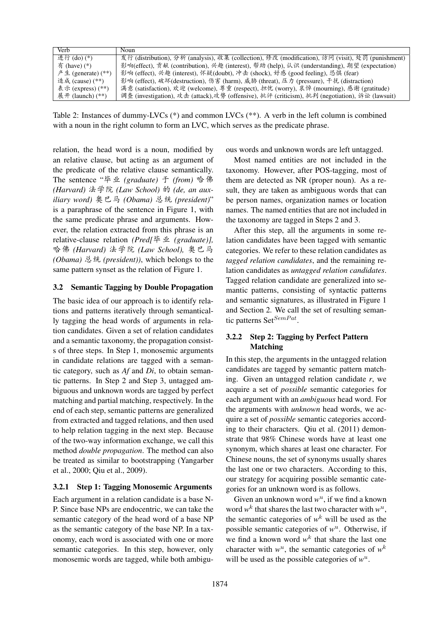| Verb                   | Noun                                                                                              |
|------------------------|---------------------------------------------------------------------------------------------------|
| 进行(do)(*)              | 发行 (distribution), 分析 (analysis), 收集 (collection), 修改 (modification), 访问 (visit), 处罚 (punishment) |
| $\bar{A}$ (have) $(*)$ | 影响(effect), 贡献 (contribution), 兴趣 (interest), 帮助 (help), 认识 (understanding), 期望 (expectation)     |
| 产生 (generate) $(**)$   | 影响 (effect), 兴趣 (interest), 怀疑(doubt), 冲击 (shock), 好感 (good feeling), 恐惧 (fear)                   |
| 造成 (cause) (**)        | 影响 (effect), 破坏(destruction), 伤害 (harm), 威胁 (threat), 压力 (pressure), 干扰 (distraction)             |
| 表示 (express) (**)      | 满意 (satisfaction), 欢迎 (welcome), 尊重 (respect), 担忧 (worry), 哀悼 (mourning), 感谢 (gratitude)          |
| 展开 (launch) $(**)$     | 调查 (investigation), 攻击 (attack),攻势 (offensive), 批评 (criticism), 批判 (negotiation), 诉讼 (lawsuit)    |

Table 2: Instances of dummy-LVCs (\*) and common LVCs (\*\*). A verb in the left column is combined with a noun in the right column to form an LVC, which serves as the predicate phrase.

relation, the head word is a noun, modified by an relative clause, but acting as an argument of the predicate of the relative clause semantically. The sentence "毕业 (graduate) 于 (from) 哈佛 *(Harvard)* {Æ *(Law School) (de, an aux*iliary word) 奥巴马 (Obama) 总统 (president)" is a paraphrase of the sentence in Figure 1, with the same predicate phrase and arguments. However, the relation extracted from this phrase is an relative-clause relation (Pred[毕业 (graduate)], 哈佛 (Harvard) 法学院 (Law School), 奥巴马 *(Obama)* 总统 *(president)*), which belongs to the same pattern synset as the relation of Figure 1.

### 3.2 Semantic Tagging by Double Propagation

The basic idea of our approach is to identify relations and patterns iteratively through semantically tagging the head words of arguments in relation candidates. Given a set of relation candidates and a semantic taxonomy, the propagation consists of three steps. In Step 1, monosemic arguments in candidate relations are tagged with a semantic category, such as *Af* and *Di*, to obtain semantic patterns. In Step 2 and Step 3, untagged ambiguous and unknown words are tagged by perfect matching and partial matching, respectively. In the end of each step, semantic patterns are generalized from extracted and tagged relations, and then used to help relation tagging in the next step. Because of the two-way information exchange, we call this method *double propagation*. The method can also be treated as similar to bootstrapping (Yangarber et al., 2000; Qiu et al., 2009).

### 3.2.1 Step 1: Tagging Monosemic Arguments

Each argument in a relation candidate is a base N-P. Since base NPs are endocentric, we can take the semantic category of the head word of a base NP as the semantic category of the base NP. In a taxonomy, each word is associated with one or more semantic categories. In this step, however, only monosemic words are tagged, while both ambiguous words and unknown words are left untagged.

Most named entities are not included in the taxonomy. However, after POS-tagging, most of them are detected as NR (proper noun). As a result, they are taken as ambiguous words that can be person names, organization names or location names. The named entities that are not included in the taxonomy are tagged in Steps 2 and 3.

After this step, all the arguments in some relation candidates have been tagged with semantic categories. We refer to these relation candidates as *tagged relation candidates*, and the remaining relation candidates as *untagged relation candidates*. Tagged relation candidate are generalized into semantic patterns, consisting of syntactic patterns and semantic signatures, as illustrated in Figure 1 and Section 2. We call the set of resulting semantic patterns Set $SemPat$ .

### 3.2.2 Step 2: Tagging by Perfect Pattern Matching

In this step, the arguments in the untagged relation candidates are tagged by semantic pattern matching. Given an untagged relation candidate *r*, we acquire a set of *possible* semantic categories for each argument with an *ambiguous* head word. For the arguments with *unknown* head words, we acquire a set of *possible* semantic categories according to their characters. Qiu et al. (2011) demonstrate that 98% Chinese words have at least one synonym, which shares at least one character. For Chinese nouns, the set of synonyms usually shares the last one or two characters. According to this, our strategy for acquiring possible semantic categories for an unknown word is as follows.

Given an unknown word  $w^u$ , if we find a known word  $w^k$  that shares the last two character with  $w^u$ , the semantic categories of  $w^k$  will be used as the possible semantic categories of  $w<sup>u</sup>$ . Otherwise, if we find a known word  $w^k$  that share the last one character with  $w^u$ , the semantic categories of  $w^k$ will be used as the possible categories of  $w^u$ .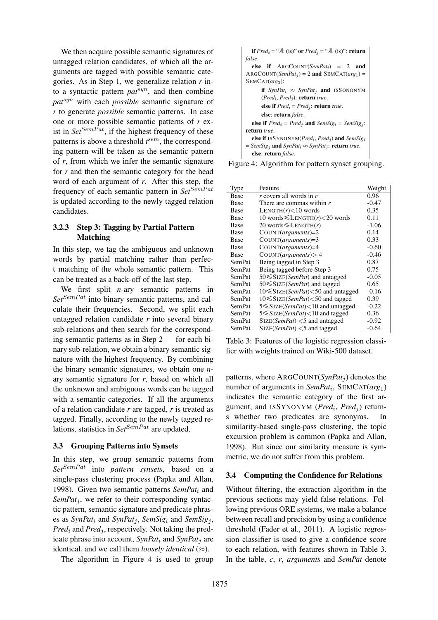We then acquire possible semantic signatures of untagged relation candidates, of which all the arguments are tagged with possible semantic categories. As in Step 1, we generalize relation *r* into a syntactic pattern *pat*syn, and then combine *pat*syn with each *possible* semantic signature of *r* to generate *possible* semantic patterns. In case one or more possible semantic patterns of *r* exist in  $Set^{SemPat}$ , if the highest frequency of these patterns is above a threshold  $t^{sem}$ , the corresponding pattern will be taken as the semantic pattern of *r*, from which we infer the semantic signature for *r* and then the semantic category for the head word of each argument of *r*. After this step, the frequency of each semantic pattern in *Set*<sup>SemPat</sup> is updated according to the newly tagged relation candidates.

### 3.2.3 Step 3: Tagging by Partial Pattern Matching

In this step, we tag the ambiguous and unknown words by partial matching rather than perfect matching of the whole semantic pattern. This can be treated as a back-off of the last step.

We first split *n*-ary semantic patterns in  $Set^{SemPat}$  into binary semantic patterns, and calculate their frequencies. Second, we split each untagged relation candidate *r* into several binary sub-relations and then search for the corresponding semantic patterns as in Step 2 — for each binary sub-relation, we obtain a binary semantic signature with the highest frequency. By combining the binary semantic signatures, we obtain one *n*ary semantic signature for *r*, based on which all the unknown and ambiguous words can be tagged with a semantic categories. If all the arguments of a relation candidate *r* are tagged, *r* is treated as tagged. Finally, according to the newly tagged relations, statistics in *Set<sup>SemPat</sup>* are updated.

### 3.3 Grouping Patterns into Synsets

In this step, we group semantic patterns from *Set*<sup>SemPat</sup> into *pattern synsets*, based on a single-pass clustering process (Papka and Allan, 1998). Given two semantic patterns *SemPat*<sup>i</sup> and *SemPat<sub>i</sub>*, we refer to their corresponding syntactic pattern, semantic signature and predicate phrases as  $SynPat_i$  and  $SynPat_j$ ,  $SemSig_i$  and  $SemSig_j$ ,  $Pred_i$  and  $Pred_j$ , respectively. Not taking the predicate phrase into account, *SynPat*<sup>i</sup> and *SynPat*<sup>j</sup> are identical, and we call them *loosely identical*  $(\approx)$ .

The algorithm in Figure 4 is used to group

| <b>if</b> $Pred_i = " \not\equiv$ (is)" or $Pred_i = " \not\equiv$ (is)": return                            |
|-------------------------------------------------------------------------------------------------------------|
| false.                                                                                                      |
| else if $ARGCOUNT(SemPat_i) = 2$ and                                                                        |
| $\text{ARGCOUNT}(SemPat_i) = 2$ and $\text{SEMCAT}(arg_1) =$                                                |
| $SEMCAT(arg_2)$ :                                                                                           |
| <b>if</b> SynPat <sub>i</sub> $\approx$ SynPat <sub>i</sub> <b>and</b> ISSONONYM                            |
| $(Predi, Predj)$ : return true.                                                                             |
| else if $Pred_i = Pred_i$ : return true.                                                                    |
| else: return <i>false</i> .                                                                                 |
| <b>else if</b> $Pred_i = Pred_i$ and $SemSig_i = SemSig_i$ :                                                |
| return true.                                                                                                |
| <b>else if</b> ISSYNONYM( <i>Pred<sub>i</sub></i> , <i>Pred<sub>i</sub></i> ) and <i>SemSig<sub>i</sub></i> |
| $=$ SemSig <sub>i</sub> and SynPat <sub>i</sub> $\approx$ SynPat <sub>i</sub> : return true.                |
| else: return false.                                                                                         |

Figure 4: Algorithm for pattern synset grouping.

| Type          | Feature                                         | Weight  |
|---------------|-------------------------------------------------|---------|
| <b>Base</b>   | r covers all words in $c$                       | 0.96    |
| <b>Base</b>   | There are commas within $r$                     | $-0.47$ |
| <b>Base</b>   | LENGTH $(r)$ < 10 words                         | 0.35    |
| Base          | 10 words $\leq$ LENGTH $(r)$ <20 words          | 0.11    |
| <b>Base</b>   | 20 words $\leq$ LENGTH $(r)$                    | $-1.06$ |
| <b>Base</b>   | $COUNT(arguments)=2$                            | 0.14    |
| Base          | $COUNT(arguments)=3$                            | 0.33    |
| <b>Base</b>   | $COUNT(arguments)=4$                            | $-0.60$ |
| Base          | COUNT(arguments) > 4                            | $-0.46$ |
| <b>SemPat</b> | Being tagged in Step 3                          | 0.87    |
| SemPat        | Being tagged before Step 3                      | 0.75    |
| SemPat        | $50 \leq$ SIZE( <i>SemPat</i> ) and untagged    | $-0.05$ |
| <b>SemPat</b> | $50 \leq SIZE(SemPat)$ and tagged               | 0.65    |
| <b>SemPat</b> | $10 \leq$ SIZE( <i>SemPat</i> )<50 and untagged | $-0.16$ |
| SemPat        | $10 \leq$ SIZE( <i>SemPat</i> )<50 and tagged   | 0.39    |
| <b>SemPat</b> | $5 \leq$ SIZE( <i>SemPat</i> )<10 and untagged  | $-0.22$ |
| <b>SemPat</b> | 5 ≤ SIZE(SemPat)<10 and tagged                  | 0.36    |
| <b>SemPat</b> | $Size(SemPat) < 5$ and untagged                 | $-0.92$ |
| SemPat        | $Size(SemPat) < 5$ and tagged                   | $-0.64$ |

Table 3: Features of the logistic regression classifier with weights trained on Wiki-500 dataset.

patterns, where  $\text{ARGCOUNT}(SynPat_i)$  denotes the number of arguments in *SemPat*<sup>i</sup> , SEMCAT(*arg*1) indicates the semantic category of the first argument, and ISSYNONYM ( $Pred_i$ ,  $Pred_j$ ) returns whether two predicates are synonyms. In similarity-based single-pass clustering, the topic excursion problem is common (Papka and Allan, 1998). But since our similarity measure is symmetric, we do not suffer from this problem.

### 3.4 Computing the Confidence for Relations

Without filtering, the extraction algorithm in the previous sections may yield false relations. Following previous ORE systems, we make a balance between recall and precision by using a confidence threshold (Fader et al., 2011). A logistic regression classifier is used to give a confidence score to each relation, with features shown in Table 3. In the table, *c*, *r*, *arguments* and *SemPat* denote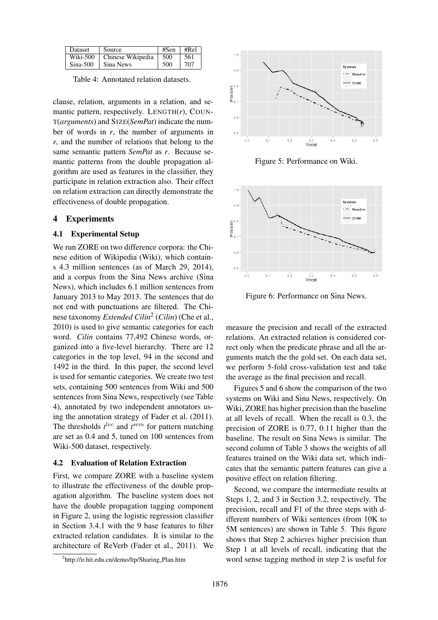| <b>Dataset</b> | Source            | #Sen  | #Rel |
|----------------|-------------------|-------|------|
| Wiki-500       | Chinese Wikipedia | 1,500 | -561 |
| $Sina-500$     | Sina News         | 500   | 707  |

Table 4: Annotated relation datasets.

clause, relation, arguments in a relation, and semantic pattern, respectively. LENGTH(*r*), COUN-T(*arguments*) and SIZE(*SemPat*) indicate the number of words in *r*, the number of arguments in *r*, and the number of relations that belong to the same semantic pattern *SemPat* as *r*. Because semantic patterns from the double propagation algorithm are used as features in the classifier, they participate in relation extraction also. Their effect on relation extraction can directly demonstrate the effectiveness of double propagation.

### 4 Experiments

#### 4.1 Experimental Setup

We run ZORE on two difference corpora: the Chinese edition of Wikipedia (Wiki), which contains 4.3 million sentences (as of March 29, 2014), and a corpus from the Sina News archive (Sina News), which includes 6.1 million sentences from January 2013 to May 2013. The sentences that do not end with punctuations are filtered. The Chinese taxonomy *Extended Cilin*<sup>2</sup> (*Cilin*) (Che et al., 2010) is used to give semantic categories for each word. *Cilin* contains 77,492 Chinese words, organized into a five-level hierarchy. There are 12 categories in the top level, 94 in the second and 1492 in the third. In this paper, the second level is used for semantic categories. We create two test sets, containing 500 sentences from Wiki and 500 sentences from Sina News, respectively (see Table 4), annotated by two independent annotators using the annotation strategy of Fader et al. (2011). The thresholds  $t^{lvc}$  and  $t^{sem}$  for pattern matching are set as 0.4 and 5, tuned on 100 sentences from Wiki-500 dataset, respectively.

### 4.2 Evaluation of Relation Extraction

First, we compare ZORE with a baseline system to illustrate the effectiveness of the double propagation algorithm. The baseline system does not have the double propagation tagging component in Figure 2, using the logistic regression classifier in Section 3.4.1 with the 9 base features to filter extracted relation candidates. It is similar to the architecture of ReVerb (Fader et al., 2011). We



Figure 5: Performance on Wiki.



Figure 6: Performance on Sina News.

measure the precision and recall of the extracted relations. An extracted relation is considered correct only when the predicate phrase and all the arguments match the the gold set. On each data set, we perform 5-fold cross-validation test and take the average as the final precision and recall.

Figures 5 and 6 show the comparison of the two systems on Wiki and Sina News, respectively. On Wiki, ZORE has higher precision than the baseline at all levels of recall. When the recall is 0.3, the precision of ZORE is 0.77, 0.11 higher than the baseline. The result on Sina News is similar. The second column of Table 3 shows the weights of all features trained on the Wiki data set, which indicates that the semantic pattern features can give a positive effect on relation filtering.

Second, we compare the intermediate results at Steps 1, 2, and 3 in Section 3.2, respectively. The precision, recall and F1 of the three steps with different numbers of Wiki sentences (from 10K to 5M sentences) are shown in Table 5. This figure shows that Step 2 achieves higher precision than Step 1 at all levels of recall, indicating that the word sense tagging method in step 2 is useful for

<sup>&</sup>lt;sup>2</sup>http://ir.hit.edu.cn/demo/ltp/Sharing\_Plan.htm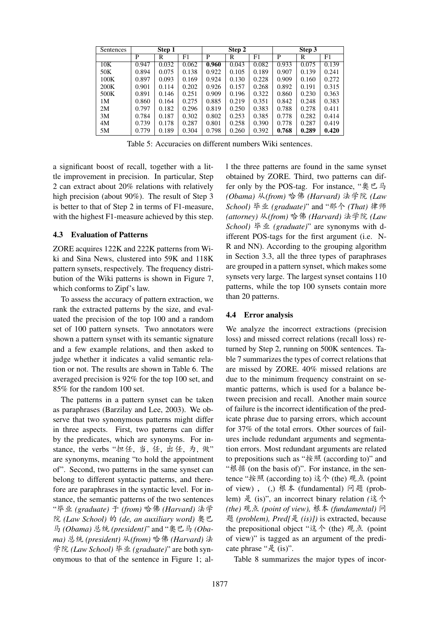| Sentences | Step 1 |       |       | Step 2 |       |       | Step 3 |       |       |
|-----------|--------|-------|-------|--------|-------|-------|--------|-------|-------|
|           | P      | R     | F1    | P      | R     | F1    | P      | R     | F1    |
| 10K       | 0.947  | 0.032 | 0.062 | 0.960  | 0.043 | 0.082 | 0.933  | 0.075 | 0.139 |
| 50K       | 0.894  | 0.075 | 0.138 | 0.922  | 0.105 | 0.189 | 0.907  | 0.139 | 0.241 |
| 100K      | 0.897  | 0.093 | 0.169 | 0.924  | 0.130 | 0.228 | 0.909  | 0.160 | 0.272 |
| 200K      | 0.901  | 0.114 | 0.202 | 0.926  | 0.157 | 0.268 | 0.892  | 0.191 | 0.315 |
| 500K      | 0.891  | 0.146 | 0.251 | 0.909  | 0.196 | 0.322 | 0.860  | 0.230 | 0.363 |
| 1M        | 0.860  | 0.164 | 0.275 | 0.885  | 0.219 | 0.351 | 0.842  | 0.248 | 0.383 |
| 2M        | 0.797  | 0.182 | 0.296 | 0.819  | 0.250 | 0.383 | 0.788  | 0.278 | 0.411 |
| 3M        | 0.784  | 0.187 | 0.302 | 0.802  | 0.253 | 0.385 | 0.778  | 0.282 | 0.414 |
| 4M        | 0.739  | 0.178 | 0.287 | 0.801  | 0.258 | 0.390 | 0.778  | 0.287 | 0.419 |
| 5M        | 0.779  | 0.189 | 0.304 | 0.798  | 0.260 | 0.392 | 0.768  | 0.289 | 0.420 |

Table 5: Accuracies on different numbers Wiki sentences.

a significant boost of recall, together with a little improvement in precision. In particular, Step 2 can extract about 20% relations with relatively high precision (about 90%). The result of Step 3 is better to that of Step 2 in terms of F1-measure, with the highest F1-measure achieved by this step.

#### 4.3 Evaluation of Patterns

ZORE acquires 122K and 222K patterns from Wiki and Sina News, clustered into 59K and 118K pattern synsets, respectively. The frequency distribution of the Wiki patterns is shown in Figure 7, which conforms to Zipf's law.

To assess the accuracy of pattern extraction, we rank the extracted patterns by the size, and evaluated the precision of the top 100 and a random set of 100 pattern synsets. Two annotators were shown a pattern synset with its semantic signature and a few example relations, and then asked to judge whether it indicates a valid semantic relation or not. The results are shown in Table 6. The averaged precision is 92% for the top 100 set, and 85% for the random 100 set.

The patterns in a pattern synset can be taken as paraphrases (Barzilay and Lee, 2003). We observe that two synonymous patterns might differ in three aspects. First, two patterns can differ by the predicates, which are synonyms. For instance, the verbs "担任, 当, 任, 出任, 为, 做" are synonyms, meaning "to hold the appointment of". Second, two patterns in the same synset can belong to different syntactic patterns, and therefore are paraphrases in the syntactic level. For instance, the semantic patterns of the two sentences "毕业 (graduate) 于 (from) 哈佛 (Harvard) 法学  $R$  (Law School) 的 (de, an auxiliary word) 奥巴 马 *(Obama)* 总统 (president)" and "奥巴马 *(Oba* $m$ a) 总统 (president) 从(from) 哈佛 (Harvard) 法 学院 (Law School) 毕业 (graduate)" are both synonymous to that of the sentence in Figure 1; all the three patterns are found in the same synset obtained by ZORE. Third, two patterns can differ only by the POS-tag. For instance, " $\mathcal{P} \subseteq \mathcal{F}$ *(Obama)* 从(from) 哈佛 (Harvard) 法学院 (Law *School*) 毕业 (graduate)" and "那个 (That) 律师 *(attorney)* 从(from) 哈佛 (Harvard) 法学院 (Law *School*) 毕业 (graduate)" are synonyms with different POS-tags for the first argument (i.e. N-R and NN). According to the grouping algorithm in Section 3.3, all the three types of paraphrases are grouped in a pattern synset, which makes some synsets very large. The largest synset contains 110 patterns, while the top 100 synsets contain more than 20 patterns.

#### 4.4 Error analysis

We analyze the incorrect extractions (precision loss) and missed correct relations (recall loss) returned by Step 2, running on 500K sentences. Table 7 summarizes the types of correct relations that are missed by ZORE. 40% missed relations are due to the minimum frequency constraint on semantic patterns, which is used for a balance between precision and recall. Another main source of failure is the incorrect identification of the predicate phrase due to parsing errors, which account for 37% of the total errors. Other sources of failures include redundant arguments and segmentation errors. Most redundant arguments are related to prepositions such as " $\ddot{\mathcal{R}}$   $\mathbb{R}$  (according to)" and " $\mathcal{R}$  # (on the basis of)". For instance, in the sentence "按照 (according to) 这个 (the) 观点 (point of view),  $(,)$  根本 (fundamental) 问题 (problem) 是 (is)", an incorrect binary relation (这个 *(the)* 观点 (point of view), 根本 (fundamental) 问 K *(problem), Pred[*¥ *(is)])* is extracted, because the prepositional object "这个 (the) 观点 (point of view)" is tagged as an argument of the predicate phrase "是 (is)".

Table 8 summarizes the major types of incor-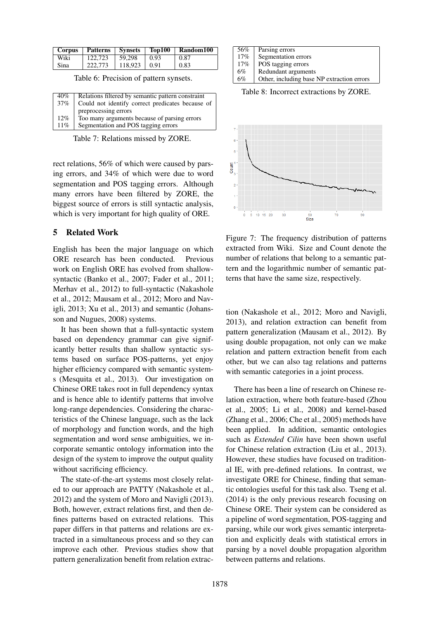| <b>Corpus</b> | <b>Patterns</b> | <b>Synsets</b> | Top100 | Random100 |
|---------------|-----------------|----------------|--------|-----------|
| Wiki          | 122,723         | 59.298         | 0.93   | 0.87      |
| Sina          | 222,773         | 118.923        | 0.91   | 0.83      |

Table 6: Precision of pattern synsets.

| 40%    | Relations filtered by semantic pattern constraint |
|--------|---------------------------------------------------|
| $37\%$ | Could not identify correct predicates because of  |
|        | preprocessing errors                              |
| $12\%$ | Too many arguments because of parsing errors      |
| $11\%$ | Segmentation and POS tagging errors               |
|        |                                                   |

Table 7: Relations missed by ZORE.

rect relations, 56% of which were caused by parsing errors, and 34% of which were due to word segmentation and POS tagging errors. Although many errors have been filtered by ZORE, the biggest source of errors is still syntactic analysis, which is very important for high quality of ORE.

### 5 Related Work

English has been the major language on which ORE research has been conducted. Previous work on English ORE has evolved from shallowsyntactic (Banko et al., 2007; Fader et al., 2011; Merhav et al., 2012) to full-syntactic (Nakashole et al., 2012; Mausam et al., 2012; Moro and Navigli, 2013; Xu et al., 2013) and semantic (Johansson and Nugues, 2008) systems.

It has been shown that a full-syntactic system based on dependency grammar can give significantly better results than shallow syntactic systems based on surface POS-patterns, yet enjoy higher efficiency compared with semantic systems (Mesquita et al., 2013). Our investigation on Chinese ORE takes root in full dependency syntax and is hence able to identify patterns that involve long-range dependencies. Considering the characteristics of the Chinese language, such as the lack of morphology and function words, and the high segmentation and word sense ambiguities, we incorporate semantic ontology information into the design of the system to improve the output quality without sacrificing efficiency.

The state-of-the-art systems most closely related to our approach are PATTY (Nakashole et al., 2012) and the system of Moro and Navigli (2013). Both, however, extract relations first, and then defines patterns based on extracted relations. This paper differs in that patterns and relations are extracted in a simultaneous process and so they can improve each other. Previous studies show that pattern generalization benefit from relation extrac-

| 56%    | Parsing errors                             |
|--------|--------------------------------------------|
| $17\%$ | Segmentation errors                        |
| 17%    | POS tagging errors                         |
| 6%     | Redundant arguments                        |
| 6%     | Other, including base NP extraction errors |

Table 8: Incorrect extractions by ZORE.



Figure 7: The frequency distribution of patterns extracted from Wiki. Size and Count denote the number of relations that belong to a semantic pattern and the logarithmic number of semantic patterns that have the same size, respectively.

tion (Nakashole et al., 2012; Moro and Navigli, 2013), and relation extraction can benefit from pattern generalization (Mausam et al., 2012). By using double propagation, not only can we make relation and pattern extraction benefit from each other, but we can also tag relations and patterns with semantic categories in a joint process.

There has been a line of research on Chinese relation extraction, where both feature-based (Zhou et al., 2005; Li et al., 2008) and kernel-based (Zhang et al., 2006; Che et al., 2005) methods have been applied. In addition, semantic ontologies such as *Extended Cilin* have been shown useful for Chinese relation extraction (Liu et al., 2013). However, these studies have focused on traditional IE, with pre-defined relations. In contrast, we investigate ORE for Chinese, finding that semantic ontologies useful for this task also. Tseng et al. (2014) is the only previous research focusing on Chinese ORE. Their system can be considered as a pipeline of word segmentation, POS-tagging and parsing, while our work gives semantic interpretation and explicitly deals with statistical errors in parsing by a novel double propagation algorithm between patterns and relations.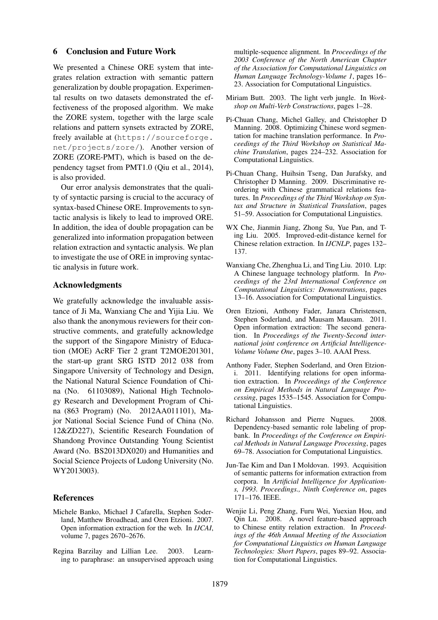#### 6 Conclusion and Future Work

We presented a Chinese ORE system that integrates relation extraction with semantic pattern generalization by double propagation. Experimental results on two datasets demonstrated the effectiveness of the proposed algorithm. We make the ZORE system, together with the large scale relations and pattern synsets extracted by ZORE, freely available at (https://sourceforge. net/projects/zore/). Another version of ZORE (ZORE-PMT), which is based on the dependency tagset from PMT1.0 (Qiu et al., 2014), is also provided.

Our error analysis demonstrates that the quality of syntactic parsing is crucial to the accuracy of syntax-based Chinese ORE. Improvements to syntactic analysis is likely to lead to improved ORE. In addition, the idea of double propagation can be generalized into information propagation between relation extraction and syntactic analysis. We plan to investigate the use of ORE in improving syntactic analysis in future work.

### Acknowledgments

We gratefully acknowledge the invaluable assistance of Ji Ma, Wanxiang Che and Yijia Liu. We also thank the anonymous reviewers for their constructive comments, and gratefully acknowledge the support of the Singapore Ministry of Education (MOE) AcRF Tier 2 grant T2MOE201301, the start-up grant SRG ISTD 2012 038 from Singapore University of Technology and Design, the National Natural Science Foundation of China (No. 61103089), National High Technology Research and Development Program of China (863 Program) (No. 2012AA011101), Major National Social Science Fund of China (No. 12&ZD227), Scientific Research Foundation of Shandong Province Outstanding Young Scientist Award (No. BS2013DX020) and Humanities and Social Science Projects of Ludong University (No. WY2013003).

#### References

- Michele Banko, Michael J Cafarella, Stephen Soderland, Matthew Broadhead, and Oren Etzioni. 2007. Open information extraction for the web. In *IJCAI*, volume 7, pages 2670–2676.
- Regina Barzilay and Lillian Lee. 2003. Learning to paraphrase: an unsupervised approach using

multiple-sequence alignment. In *Proceedings of the 2003 Conference of the North American Chapter of the Association for Computational Linguistics on Human Language Technology-Volume 1*, pages 16– 23. Association for Computational Linguistics.

- Miriam Butt. 2003. The light verb jungle. In *Workshop on Multi-Verb Constructions*, pages 1–28.
- Pi-Chuan Chang, Michel Galley, and Christopher D Manning. 2008. Optimizing Chinese word segmentation for machine translation performance. In *Proceedings of the Third Workshop on Statistical Machine Translation*, pages 224–232. Association for Computational Linguistics.
- Pi-Chuan Chang, Huihsin Tseng, Dan Jurafsky, and Christopher D Manning. 2009. Discriminative reordering with Chinese grammatical relations features. In *Proceedings of the Third Workshop on Syntax and Structure in Statistical Translation*, pages 51–59. Association for Computational Linguistics.
- WX Che, Jianmin Jiang, Zhong Su, Yue Pan, and Ting Liu. 2005. Improved-edit-distance kernel for Chinese relation extraction. In *IJCNLP*, pages 132– 137.
- Wanxiang Che, Zhenghua Li, and Ting Liu. 2010. Ltp: A Chinese language technology platform. In *Proceedings of the 23rd International Conference on Computational Linguistics: Demonstrations*, pages 13–16. Association for Computational Linguistics.
- Oren Etzioni, Anthony Fader, Janara Christensen, Stephen Soderland, and Mausam Mausam. 2011. Open information extraction: The second generation. In *Proceedings of the Twenty-Second international joint conference on Artificial Intelligence-Volume Volume One*, pages 3–10. AAAI Press.
- Anthony Fader, Stephen Soderland, and Oren Etzioni. 2011. Identifying relations for open information extraction. In *Proceedings of the Conference on Empirical Methods in Natural Language Processing*, pages 1535–1545. Association for Computational Linguistics.
- Richard Johansson and Pierre Nugues. 2008. Dependency-based semantic role labeling of propbank. In *Proceedings of the Conference on Empirical Methods in Natural Language Processing*, pages 69–78. Association for Computational Linguistics.
- Jun-Tae Kim and Dan I Moldovan. 1993. Acquisition of semantic patterns for information extraction from corpora. In *Artificial Intelligence for Applications, 1993. Proceedings., Ninth Conference on*, pages 171–176. IEEE.
- Wenjie Li, Peng Zhang, Furu Wei, Yuexian Hou, and Qin Lu. 2008. A novel feature-based approach to Chinese entity relation extraction. In *Proceedings of the 46th Annual Meeting of the Association for Computational Linguistics on Human Language Technologies: Short Papers*, pages 89–92. Association for Computational Linguistics.